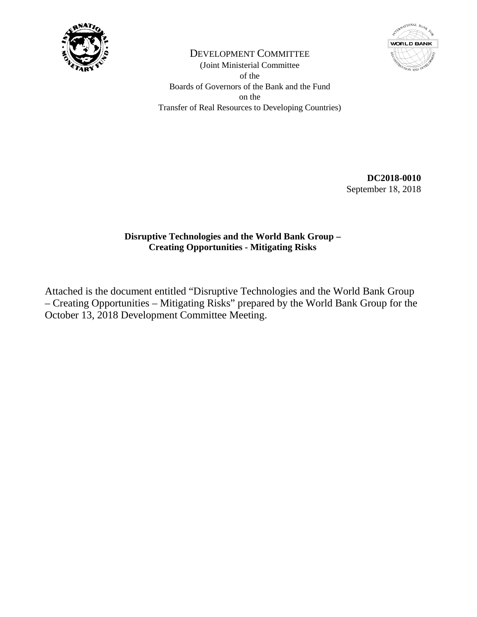



DEVELOPMENT COMMITTEE (Joint Ministerial Committee of the Boards of Governors of the Bank and the Fund on the Transfer of Real Resources to Developing Countries)

> **DC2018-0010**  September 18, 2018

# **Disruptive Technologies and the World Bank Group – Creating Opportunities - Mitigating Risks**

Attached is the document entitled "Disruptive Technologies and the World Bank Group – Creating Opportunities – Mitigating Risks" prepared by the World Bank Group for the October 13, 2018 Development Committee Meeting.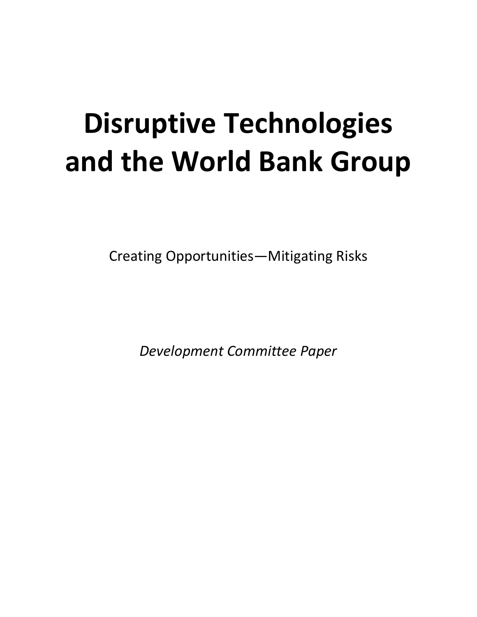# **Disruptive Technologies and the World Bank Group**

Creating Opportunities—Mitigating Risks

*Development Committee Paper*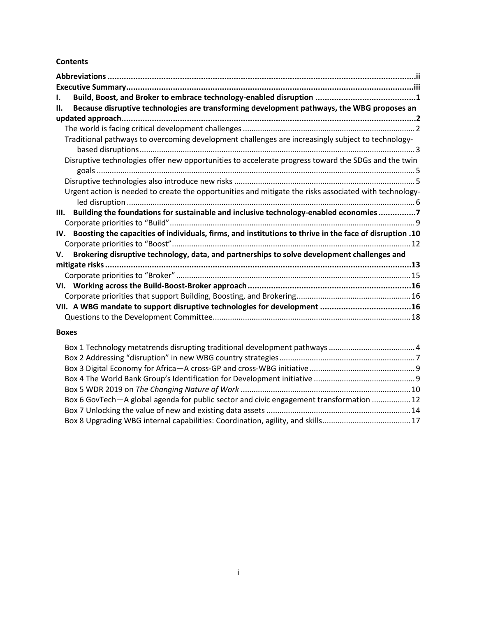# **Contents**

| ı.  |                                                                                                             |  |  |  |
|-----|-------------------------------------------------------------------------------------------------------------|--|--|--|
| Н.  | Because disruptive technologies are transforming development pathways, the WBG proposes an                  |  |  |  |
|     |                                                                                                             |  |  |  |
|     |                                                                                                             |  |  |  |
|     | Traditional pathways to overcoming development challenges are increasingly subject to technology-           |  |  |  |
|     | Disruptive technologies offer new opportunities to accelerate progress toward the SDGs and the twin         |  |  |  |
|     |                                                                                                             |  |  |  |
|     | Urgent action is needed to create the opportunities and mitigate the risks associated with technology-      |  |  |  |
| Ш.  | Building the foundations for sustainable and inclusive technology-enabled economies7                        |  |  |  |
|     |                                                                                                             |  |  |  |
| IV. | 10. Boosting the capacities of individuals, firms, and institutions to thrive in the face of disruption .10 |  |  |  |
| V.  | Brokering disruptive technology, data, and partnerships to solve development challenges and                 |  |  |  |
|     |                                                                                                             |  |  |  |
|     |                                                                                                             |  |  |  |
|     |                                                                                                             |  |  |  |
|     |                                                                                                             |  |  |  |
|     |                                                                                                             |  |  |  |
|     |                                                                                                             |  |  |  |

## **Boxes**

| Box 6 GovTech—A global agenda for public sector and civic engagement transformation  12 |  |
|-----------------------------------------------------------------------------------------|--|
|                                                                                         |  |
|                                                                                         |  |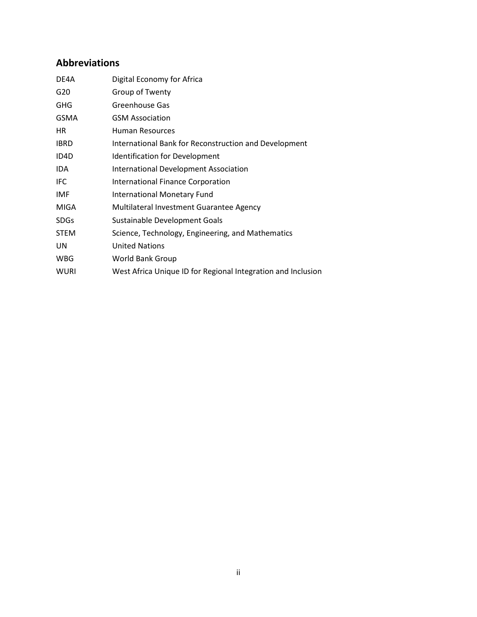# <span id="page-4-0"></span>**Abbreviations**

| DE4A              | Digital Economy for Africa                                   |
|-------------------|--------------------------------------------------------------|
| G20               | Group of Twenty                                              |
| <b>GHG</b>        | Greenhouse Gas                                               |
| <b>GSMA</b>       | <b>GSM Association</b>                                       |
| HR.               | Human Resources                                              |
| <b>IBRD</b>       | International Bank for Reconstruction and Development        |
| ID <sub>4</sub> D | <b>Identification for Development</b>                        |
| IDA.              | <b>International Development Association</b>                 |
| <b>IFC</b>        | <b>International Finance Corporation</b>                     |
| IMF               | <b>International Monetary Fund</b>                           |
| <b>MIGA</b>       | Multilateral Investment Guarantee Agency                     |
| <b>SDGs</b>       | Sustainable Development Goals                                |
| <b>STEM</b>       | Science, Technology, Engineering, and Mathematics            |
| UN                | <b>United Nations</b>                                        |
| <b>WBG</b>        | World Bank Group                                             |
| <b>WURI</b>       | West Africa Unique ID for Regional Integration and Inclusion |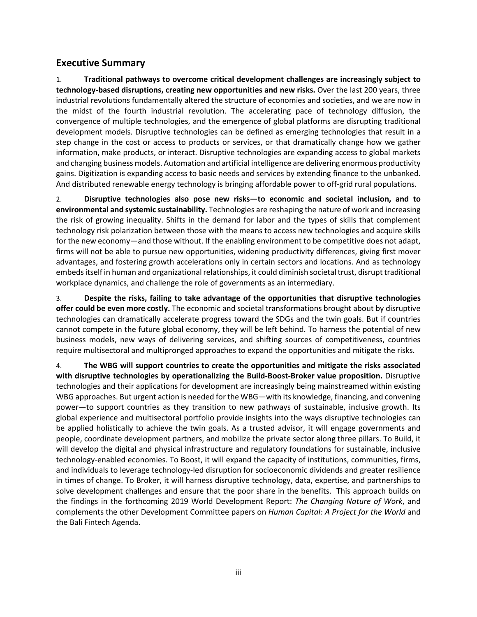# <span id="page-5-0"></span>**Executive Summary**

1. **Traditional pathways to overcome critical development challenges are increasingly subject to technology-based disruptions, creating new opportunities and new risks.** Over the last 200 years, three industrial revolutions fundamentally altered the structure of economies and societies, and we are now in the midst of the fourth industrial revolution. The accelerating pace of technology diffusion, the convergence of multiple technologies, and the emergence of global platforms are disrupting traditional development models. Disruptive technologies can be defined as emerging technologies that result in a step change in the cost or access to products or services, or that dramatically change how we gather information, make products, or interact. Disruptive technologies are expanding access to global markets and changing business models. Automation and artificial intelligence are delivering enormous productivity gains. Digitization is expanding access to basic needs and services by extending finance to the unbanked. And distributed renewable energy technology is bringing affordable power to off-grid rural populations.

2. **Disruptive technologies also pose new risks—to economic and societal inclusion, and to environmental and systemic sustainability.** Technologies are reshaping the nature of work and increasing the risk of growing inequality. Shifts in the demand for labor and the types of skills that complement technology risk polarization between those with the means to access new technologies and acquire skills for the new economy—and those without. If the enabling environment to be competitive does not adapt, firms will not be able to pursue new opportunities, widening productivity differences, giving first mover advantages, and fostering growth accelerations only in certain sectors and locations. And as technology embeds itself in human and organizational relationships, it could diminish societal trust, disrupt traditional workplace dynamics, and challenge the role of governments as an intermediary.

3. **Despite the risks, failing to take advantage of the opportunities that disruptive technologies offer could be even more costly.** The economic and societal transformations brought about by disruptive technologies can dramatically accelerate progress toward the SDGs and the twin goals. But if countries cannot compete in the future global economy, they will be left behind. To harness the potential of new business models, new ways of delivering services, and shifting sources of competitiveness, countries require multisectoral and multipronged approaches to expand the opportunities and mitigate the risks.

4. **The WBG will support countries to create the opportunities and mitigate the risks associated with disruptive technologies by operationalizing the Build-Boost-Broker value proposition.** Disruptive technologies and their applications for development are increasingly being mainstreamed within existing WBG approaches. But urgent action is needed for the WBG—with its knowledge, financing, and convening power—to support countries as they transition to new pathways of sustainable, inclusive growth. Its global experience and multisectoral portfolio provide insights into the ways disruptive technologies can be applied holistically to achieve the twin goals. As a trusted advisor, it will engage governments and people, coordinate development partners, and mobilize the private sector along three pillars. To Build, it will develop the digital and physical infrastructure and regulatory foundations for sustainable, inclusive technology-enabled economies. To Boost, it will expand the capacity of institutions, communities, firms, and individuals to leverage technology-led disruption for socioeconomic dividends and greater resilience in times of change. To Broker, it will harness disruptive technology, data, expertise, and partnerships to solve development challenges and ensure that the poor share in the benefits. This approach builds on the findings in the forthcoming 2019 World Development Report: *The Changing Nature of Work*, and complements the other Development Committee papers on *Human Capital: A Project for the World* and the Bali Fintech Agenda.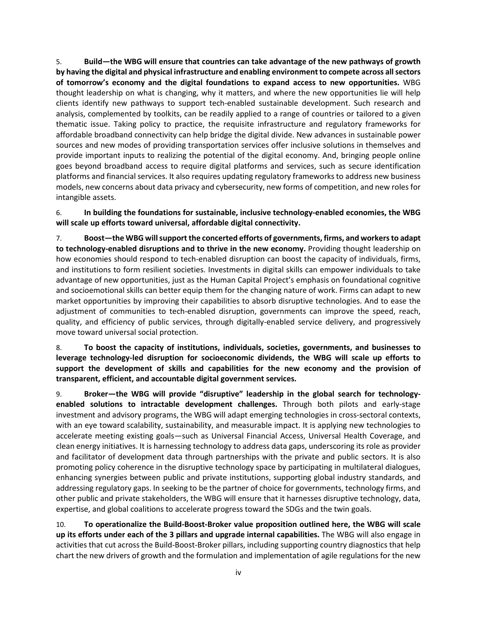5. **Build—the WBG will ensure that countries can take advantage of the new pathways of growth by having the digital and physical infrastructure and enabling environment to compete across all sectors of tomorrow's economy and the digital foundations to expand access to new opportunities.** WBG thought leadership on what is changing, why it matters, and where the new opportunities lie will help clients identify new pathways to support tech-enabled sustainable development. Such research and analysis, complemented by toolkits, can be readily applied to a range of countries or tailored to a given thematic issue. Taking policy to practice, the requisite infrastructure and regulatory frameworks for affordable broadband connectivity can help bridge the digital divide. New advances in sustainable power sources and new modes of providing transportation services offer inclusive solutions in themselves and provide important inputs to realizing the potential of the digital economy. And, bringing people online goes beyond broadband access to require digital platforms and services, such as secure identification platforms and financial services. It also requires updating regulatory frameworks to address new business models, new concerns about data privacy and cybersecurity, new forms of competition, and new roles for intangible assets.

6. **In building the foundations for sustainable, inclusive technology-enabled economies, the WBG will scale up efforts toward universal, affordable digital connectivity.**

7. **Boost—the WBG will support the concerted efforts of governments, firms, and workers to adapt to technology-enabled disruptions and to thrive in the new economy.** Providing thought leadership on how economies should respond to tech-enabled disruption can boost the capacity of individuals, firms, and institutions to form resilient societies. Investments in digital skills can empower individuals to take advantage of new opportunities, just as the Human Capital Project's emphasis on foundational cognitive and socioemotional skills can better equip them for the changing nature of work. Firms can adapt to new market opportunities by improving their capabilities to absorb disruptive technologies. And to ease the adjustment of communities to tech-enabled disruption, governments can improve the speed, reach, quality, and efficiency of public services, through digitally-enabled service delivery, and progressively move toward universal social protection.

8. **To boost the capacity of institutions, individuals, societies, governments, and businesses to leverage technology-led disruption for socioeconomic dividends, the WBG will scale up efforts to support the development of skills and capabilities for the new economy and the provision of transparent, efficient, and accountable digital government services.**

9. **Broker—the WBG will provide "disruptive" leadership in the global search for technologyenabled solutions to intractable development challenges.** Through both pilots and early-stage investment and advisory programs, the WBG will adapt emerging technologies in cross-sectoral contexts, with an eye toward scalability, sustainability, and measurable impact. It is applying new technologies to accelerate meeting existing goals—such as Universal Financial Access, Universal Health Coverage, and clean energy initiatives. It is harnessing technology to address data gaps, underscoring its role as provider and facilitator of development data through partnerships with the private and public sectors. It is also promoting policy coherence in the disruptive technology space by participating in multilateral dialogues, enhancing synergies between public and private institutions, supporting global industry standards, and addressing regulatory gaps. In seeking to be the partner of choice for governments, technology firms, and other public and private stakeholders, the WBG will ensure that it harnesses disruptive technology, data, expertise, and global coalitions to accelerate progress toward the SDGs and the twin goals.

10. **To operationalize the Build-Boost-Broker value proposition outlined here, the WBG will scale up its efforts under each of the 3 pillars and upgrade internal capabilities.** The WBG will also engage in activities that cut across the Build-Boost-Broker pillars, including supporting country diagnostics that help chart the new drivers of growth and the formulation and implementation of agile regulations for the new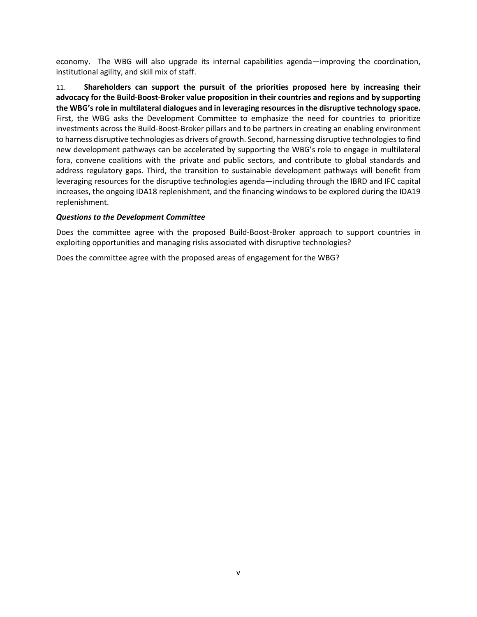economy. The WBG will also upgrade its internal capabilities agenda—improving the coordination, institutional agility, and skill mix of staff.

11. **Shareholders can support the pursuit of the priorities proposed here by increasing their advocacy for the Build-Boost-Broker value proposition in their countries and regions and by supporting the WBG's role in multilateral dialogues and in leveraging resources in the disruptive technology space.**  First, the WBG asks the Development Committee to emphasize the need for countries to prioritize investments across the Build-Boost-Broker pillars and to be partners in creating an enabling environment to harness disruptive technologies as drivers of growth. Second, harnessing disruptive technologies to find new development pathways can be accelerated by supporting the WBG's role to engage in multilateral fora, convene coalitions with the private and public sectors, and contribute to global standards and address regulatory gaps. Third, the transition to sustainable development pathways will benefit from leveraging resources for the disruptive technologies agenda—including through the IBRD and IFC capital increases, the ongoing IDA18 replenishment, and the financing windows to be explored during the IDA19 replenishment.

## *Questions to the Development Committee*

Does the committee agree with the proposed Build-Boost-Broker approach to support countries in exploiting opportunities and managing risks associated with disruptive technologies?

Does the committee agree with the proposed areas of engagement for the WBG?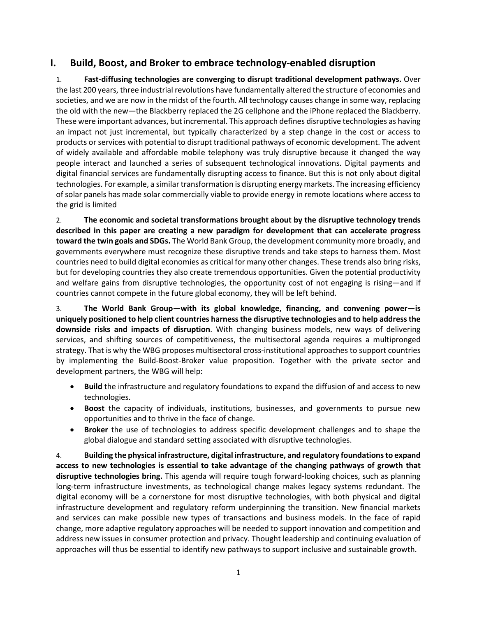# <span id="page-8-0"></span>**I. Build, Boost, and Broker to embrace technology-enabled disruption**

1. **Fast-diffusing technologies are converging to disrupt traditional development pathways.** Over the last 200 years, three industrial revolutions have fundamentally altered the structure of economies and societies, and we are now in the midst of the fourth. All technology causes change in some way, replacing the old with the new—the Blackberry replaced the 2G cellphone and the iPhone replaced the Blackberry. These were important advances, but incremental. This approach defines disruptive technologies as having an impact not just incremental, but typically characterized by a step change in the cost or access to products or services with potential to disrupt traditional pathways of economic development. The advent of widely available and affordable mobile telephony was truly disruptive because it changed the way people interact and launched a series of subsequent technological innovations. Digital payments and digital financial services are fundamentally disrupting access to finance. But this is not only about digital technologies. For example, a similar transformation is disrupting energy markets. The increasing efficiency of solar panels has made solar commercially viable to provide energy in remote locations where access to the grid is limited

2. **The economic and societal transformations brought about by the disruptive technology trends described in this paper are creating a new paradigm for development that can accelerate progress toward the twin goals and SDGs.** The World Bank Group, the development community more broadly, and governments everywhere must recognize these disruptive trends and take steps to harness them. Most countries need to build digital economies as critical for many other changes. These trends also bring risks, but for developing countries they also create tremendous opportunities. Given the potential productivity and welfare gains from disruptive technologies, the opportunity cost of not engaging is rising—and if countries cannot compete in the future global economy, they will be left behind.

3. **The World Bank Group—with its global knowledge, financing, and convening power—is uniquely positioned to help client countries harness the disruptive technologies and to help address the downside risks and impacts of disruption**. With changing business models, new ways of delivering services, and shifting sources of competitiveness, the multisectoral agenda requires a multipronged strategy. That is why the WBG proposes multisectoral cross-institutional approaches to support countries by implementing the Build-Boost-Broker value proposition. Together with the private sector and development partners, the WBG will help:

- **Build** the infrastructure and regulatory foundations to expand the diffusion of and access to new technologies.
- **Boost** the capacity of individuals, institutions, businesses, and governments to pursue new opportunities and to thrive in the face of change.
- **Broker** the use of technologies to address specific development challenges and to shape the global dialogue and standard setting associated with disruptive technologies.

4. **Building the physical infrastructure, digital infrastructure, and regulatory foundationsto expand access to new technologies is essential to take advantage of the changing pathways of growth that disruptive technologies bring.** This agenda will require tough forward-looking choices, such as planning long-term infrastructure investments, as technological change makes legacy systems redundant. The digital economy will be a cornerstone for most disruptive technologies, with both physical and digital infrastructure development and regulatory reform underpinning the transition. New financial markets and services can make possible new types of transactions and business models. In the face of rapid change, more adaptive regulatory approaches will be needed to support innovation and competition and address new issues in consumer protection and privacy. Thought leadership and continuing evaluation of approaches will thus be essential to identify new pathways to support inclusive and sustainable growth.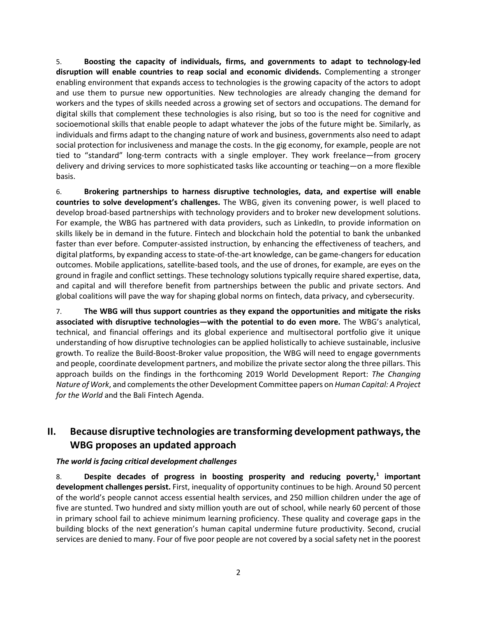5. **Boosting the capacity of individuals, firms, and governments to adapt to technology-led disruption will enable countries to reap social and economic dividends.** Complementing a stronger enabling environment that expands access to technologies is the growing capacity of the actors to adopt and use them to pursue new opportunities. New technologies are already changing the demand for workers and the types of skills needed across a growing set of sectors and occupations. The demand for digital skills that complement these technologies is also rising, but so too is the need for cognitive and socioemotional skills that enable people to adapt whatever the jobs of the future might be. Similarly, as individuals and firms adapt to the changing nature of work and business, governments also need to adapt social protection for inclusiveness and manage the costs. In the gig economy, for example, people are not tied to "standard" long-term contracts with a single employer. They work freelance—from grocery delivery and driving services to more sophisticated tasks like accounting or teaching—on a more flexible basis.

6. **Brokering partnerships to harness disruptive technologies, data, and expertise will enable countries to solve development's challenges.** The WBG, given its convening power, is well placed to develop broad-based partnerships with technology providers and to broker new development solutions. For example, the WBG has partnered with data providers, such as LinkedIn, to provide information on skills likely be in demand in the future. Fintech and blockchain hold the potential to bank the unbanked faster than ever before. Computer-assisted instruction, by enhancing the effectiveness of teachers, and digital platforms, by expanding access to state-of-the-art knowledge, can be game-changers for education outcomes. Mobile applications, satellite-based tools, and the use of drones, for example, are eyes on the ground in fragile and conflict settings. These technology solutions typically require shared expertise, data, and capital and will therefore benefit from partnerships between the public and private sectors. And global coalitions will pave the way for shaping global norms on fintech, data privacy, and cybersecurity.

7. **The WBG will thus support countries as they expand the opportunities and mitigate the risks associated with disruptive technologies—with the potential to do even more.** The WBG's analytical, technical, and financial offerings and its global experience and multisectoral portfolio give it unique understanding of how disruptive technologies can be applied holistically to achieve sustainable, inclusive growth. To realize the Build-Boost-Broker value proposition, the WBG will need to engage governments and people, coordinate development partners, and mobilize the private sector along the three pillars. This approach builds on the findings in the forthcoming 2019 World Development Report: *The Changing Nature of Work*, and complements the other Development Committee papers on *Human Capital: A Project for the World* and the Bali Fintech Agenda.

# <span id="page-9-0"></span>**II. Because disruptive technologies are transforming development pathways, the WBG proposes an updated approach**

## <span id="page-9-1"></span>*The world is facing critical development challenges*

8. **Despite decades of progress in boosting prosperity and reducing poverty,[1](#page-10-1) important development challenges persist.** First, inequality of opportunity continues to be high. Around 50 percent of the world's people cannot access essential health services, and 250 million children under the age of five are stunted. Two hundred and sixty million youth are out of school, while nearly 60 percent of those in primary school fail to achieve minimum learning proficiency. These quality and coverage gaps in the building blocks of the next generation's human capital undermine future productivity. Second, crucial services are denied to many. Four of five poor people are not covered by a social safety net in the poorest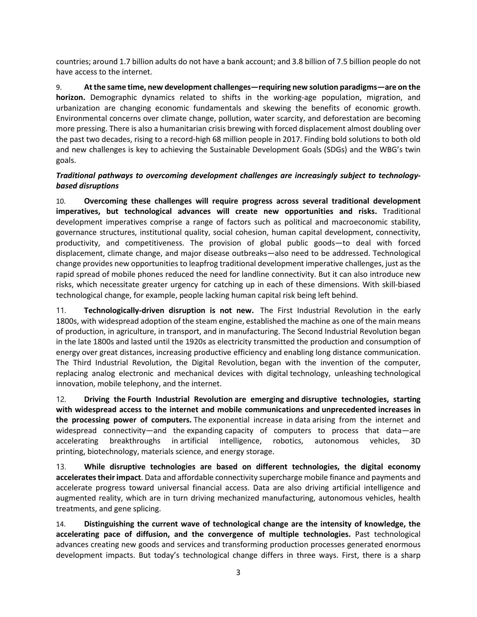countries; around 1.7 billion adults do not have a bank account; and 3.8 billion of 7.5 billion people do not have access to the internet.

9. **At the same time, new development challenges—requiring new solution paradigms—are on the horizon.** Demographic dynamics related to shifts in the working-age population, migration, and urbanization are changing economic fundamentals and skewing the benefits of economic growth. Environmental concerns over climate change, pollution, water scarcity, and deforestation are becoming more pressing. There is also a humanitarian crisis brewing with forced displacement almost doubling over the past two decades, rising to a record-high 68 million people in 2017. Finding bold solutions to both old and new challenges is key to achieving the Sustainable Development Goals (SDGs) and the WBG's twin goals.

# <span id="page-10-0"></span>*Traditional pathways to overcoming development challenges are increasingly subject to technologybased disruptions*

<span id="page-10-3"></span><span id="page-10-2"></span><span id="page-10-1"></span>10. **Overcoming these challenges will require progress across several traditional development imperatives, but technological advances will create new opportunities and risks.** Traditional development imperatives comprise a range of factors such as political and macroeconomic stability, governance structures, institutional quality, social cohesion, human capital development, connectivity, productivity, and competitiveness. The provision of global public goods—to deal with forced displacement, climate change, and major disease outbreaks—also need to be addressed. Technological change provides new opportunities to leapfrog traditional development imperative challenges, just as the rapid spread of mobile phones reduced the need for landline connectivity. But it can also introduce new risks, which necessitate greater urgency for catching up in each of these dimensions. With skill-biased technological change, for example, people lacking human capital risk being left behind.

<span id="page-10-4"></span>11. **Technologically-driven disruption is not new.** The First Industrial Revolution in the early 1800s, with widespread adoption of the steam engine, established the machine as one of the main means of production, in agriculture, in transport, and in manufacturing. The Second Industrial Revolution began in the late 1800s and lasted until the 1920s as electricity transmitted the production and consumption of energy over great distances, increasing productive efficiency and enabling long distance communication. The Third Industrial Revolution, the Digital Revolution, began with the invention of the computer, replacing analog electronic and mechanical devices with digital technology, unleashing technological innovation, mobile telephony, and the internet.

12. **Driving the Fourth Industrial Revolution are emerging and disruptive technologies, starting with widespread access to the internet and mobile communications and unprecedented increases in the processing power of computers.** The exponential increase in data arising from the internet and widespread connectivity—and the expanding capacity of computers to process that data—are accelerating breakthroughs in artificial intelligence, robotics, autonomous vehicles, 3D printing, biotechnology, materials science, and energy storage.

13. **While disruptive technologies are based on different technologies, the digital economy accelerates their impact**. Data and affordable connectivity supercharge mobile finance and payments and accelerate progress toward universal financial access. Data are also driving artificial intelligence and augmented reality, which are in turn driving mechanized manufacturing, autonomous vehicles, health treatments, and gene splicing.

14. **Distinguishing the current wave of technological change are the intensity of knowledge, the accelerating pace of diffusion, and the convergence of multiple technologies.** Past technological advances creating new goods and services and transforming production processes generated enormous development impacts. But today's technological change differs in three ways. First, there is a sharp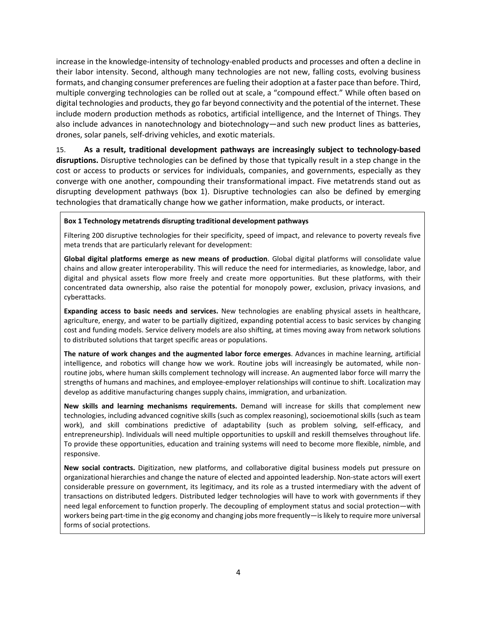increase in the knowledge-intensity of technology-enabled products and processes and often a decline in their labor intensity. Second, although many technologies are not new, falling costs, evolving business formats, and changing consumer preferences are fueling their adoption at a faster pace than before. Third, multiple converging technologies can be rolled out at scale, a "compound effect." While often based on digital technologies and products, they go far beyond connectivity and the potential of the internet. These include modern production methods as robotics, artificial intelligence, and the Internet of Things. They also include advances in nanotechnology and biotechnology—and such new product lines as batteries, drones, solar panels, self-driving vehicles, and exotic materials.

15. **As a result, traditional development pathways are increasingly subject to technology-based disruptions.** Disruptive technologies can be defined by those that typically result in a step change in the cost or access to products or services for individuals, companies, and governments, especially as they converge with one another, compounding their transformational impact. Five metatrends stand out as disrupting development pathways (box 1). Disruptive technologies can also be defined by emerging technologies that dramatically change how we gather information, make products, or interact.

#### <span id="page-11-0"></span>**Box 1 Technology metatrends disrupting traditional development pathways**

Filtering 200 disruptive technologies for their specificity, speed of impact, and relevance to poverty reveals five meta trends that are particularly relevant for development:

**Global digital platforms emerge as new means of production**. Global digital platforms will consolidate value chains and allow greater interoperability. This will reduce the need for intermediaries, as knowledge, labor, and digital and physical assets flow more freely and create more opportunities. But these platforms, with their concentrated data ownership, also raise the potential for monopoly power, exclusion, privacy invasions, and cyberattacks.

**Expanding access to basic needs and services.** New technologies are enabling physical assets in healthcare, agriculture, energy, and water to be partially digitized, expanding potential access to basic services by changing cost and funding models. Service delivery models are also shifting, at times moving away from network solutions to distributed solutions that target specific areas or populations.

**The nature of work changes and the augmented labor force emerges**. Advances in machine learning, artificial intelligence, and robotics will change how we work. Routine jobs will increasingly be automated, while nonroutine jobs, where human skills complement technology will increase. An augmented labor force will marry the strengths of humans and machines, and employee-employer relationships will continue to shift. Localization may develop as additive manufacturing changes supply chains, immigration, and urbanization.

**New skills and learning mechanisms requirements.** Demand will increase for skills that complement new technologies, including advanced cognitive skills (such as complex reasoning), socioemotional skills (such as team work), and skill combinations predictive of adaptability (such as problem solving, self-efficacy, and entrepreneurship). Individuals will need multiple opportunities to upskill and reskill themselves throughout life. To provide these opportunities, education and training systems will need to become more flexible, nimble, and responsive.

**New social contracts.** Digitization, new platforms, and collaborative digital business models put pressure on organizational hierarchies and change the nature of elected and appointed leadership. Non-state actors will exert considerable pressure on government, its legitimacy, and its role as a trusted intermediary with the advent of transactions on distributed ledgers. Distributed ledger technologies will have to work with governments if they need legal enforcement to function properly. The decoupling of employment status and social protection—with workers being part-time in the gig economy and changing jobs more frequently—is likely to require more universal forms of social protections.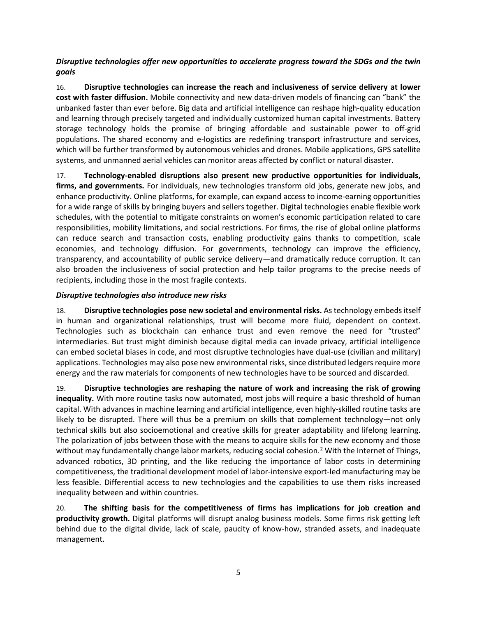<span id="page-12-0"></span>*Disruptive technologies offer new opportunities to accelerate progress toward the SDGs and the twin goals*

16. **Disruptive technologies can increase the reach and inclusiveness of service delivery at lower cost with faster diffusion.** Mobile connectivity and new data-driven models of financing can "bank" the unbanked faster than ever before. Big data and artificial intelligence can reshape high-quality education and learning through precisely targeted and individually customized human capital investments. Battery storage technology holds the promise of bringing affordable and sustainable power to off-grid populations. The shared economy and e-logistics are redefining transport infrastructure and services, which will be further transformed by autonomous vehicles and drones. Mobile applications, GPS satellite systems, and unmanned aerial vehicles can monitor areas affected by conflict or natural disaster.

17. **Technology-enabled disruptions also present new productive opportunities for individuals, firms, and governments.** For individuals, new technologies transform old jobs, generate new jobs, and enhance productivity. Online platforms, for example, can expand access to income-earning opportunities for a wide range of skills by bringing buyers and sellers together. Digital technologies enable flexible work schedules, with the potential to mitigate constraints on women's economic participation related to care responsibilities, mobility limitations, and social restrictions. For firms, the rise of global online platforms can reduce search and transaction costs, enabling productivity gains thanks to competition, scale economies, and technology diffusion. For governments, technology can improve the efficiency, transparency, and accountability of public service delivery—and dramatically reduce corruption. It can also broaden the inclusiveness of social protection and help tailor programs to the precise needs of recipients, including those in the most fragile contexts.

# <span id="page-12-1"></span>*Disruptive technologies also introduce new risks*

18. **Disruptive technologies pose new societal and environmental risks.** As technology embeds itself in human and organizational relationships, trust will become more fluid, dependent on context. Technologies such as blockchain can enhance trust and even remove the need for "trusted" intermediaries. But trust might diminish because digital media can invade privacy, artificial intelligence can embed societal biases in code, and most disruptive technologies have dual-use (civilian and military) applications. Technologies may also pose new environmental risks, since distributed ledgers require more energy and the raw materials for components of new technologies have to be sourced and discarded.

19. **Disruptive technologies are reshaping the nature of work and increasing the risk of growing inequality.** With more routine tasks now automated, most jobs will require a basic threshold of human capital. With advances in machine learning and artificial intelligence, even highly-skilled routine tasks are likely to be disrupted. There will thus be a premium on skills that complement technology—not only technical skills but also socioemotional and creative skills for greater adaptability and lifelong learning. The polarization of jobs between those with the means to acquire skills for the new economy and those without may fundamentally change labor markets, reducing social cohesion.<sup>[2](#page-10-2)</sup> With the Internet of Things, advanced robotics, 3D printing, and the like reducing the importance of labor costs in determining competitiveness, the traditional development model of labor-intensive export-led manufacturing may be less feasible. Differential access to new technologies and the capabilities to use them risks increased inequality between and within countries.

20. **The shifting basis for the competitiveness of firms has implications for job creation and productivity growth.** Digital platforms will disrupt analog business models. Some firms risk getting left behind due to the digital divide, lack of scale, paucity of know-how, stranded assets, and inadequate management.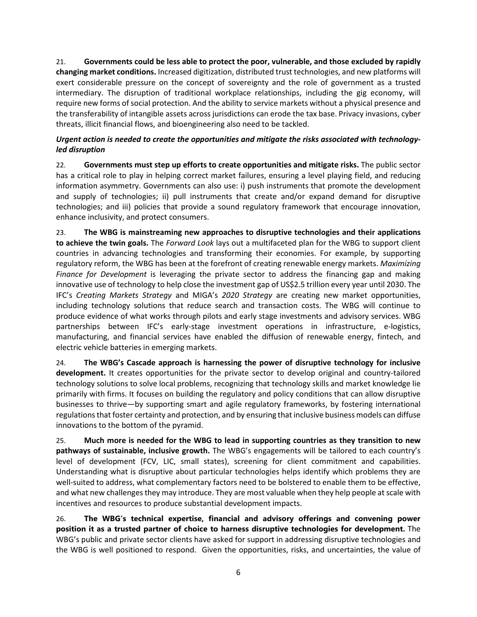21. **Governments could be less able to protect the poor, vulnerable, and those excluded by rapidly changing market conditions.** Increased digitization, distributed trust technologies, and new platforms will exert considerable pressure on the concept of sovereignty and the role of government as a trusted intermediary. The disruption of traditional workplace relationships, including the gig economy, will require new forms of social protection. And the ability to service markets without a physical presence and the transferability of intangible assets across jurisdictions can erode the tax base. Privacy invasions, cyber threats, illicit financial flows, and bioengineering also need to be tackled.

# <span id="page-13-0"></span>*Urgent action is needed to create the opportunities and mitigate the risks associated with technologyled disruption*

22. **Governments must step up efforts to create opportunities and mitigate risks.** The public sector has a critical role to play in helping correct market failures, ensuring a level playing field, and reducing information asymmetry. Governments can also use: i) push instruments that promote the development and supply of technologies; ii) pull instruments that create and/or expand demand for disruptive technologies; and iii) policies that provide a sound regulatory framework that encourage innovation, enhance inclusivity, and protect consumers.

23. **The WBG is mainstreaming new approaches to disruptive technologies and their applications to achieve the twin goals.** The *Forward Look* lays out a multifaceted plan for the WBG to support client countries in advancing technologies and transforming their economies. For example, by supporting regulatory reform, the WBG has been at the forefront of creating renewable energy markets. *Maximizing Finance for Development* is leveraging the private sector to address the financing gap and making innovative use of technology to help close the investment gap of US\$2.5 trillion every year until 2030. The IFC's *Creating Markets Strategy* and MIGA's *2020 Strategy* are creating new market opportunities, including technology solutions that reduce search and transaction costs. The WBG will continue to produce evidence of what works through pilots and early stage investments and advisory services. WBG partnerships between IFC's early-stage investment operations in infrastructure, e-logistics, manufacturing, and financial services have enabled the diffusion of renewable energy, fintech, and electric vehicle batteries in emerging markets.

24. **The WBG's Cascade approach is harnessing the power of disruptive technology for inclusive development.** It creates opportunities for the private sector to develop original and country-tailored technology solutions to solve local problems, recognizing that technology skills and market knowledge lie primarily with firms. It focuses on building the regulatory and policy conditions that can allow disruptive businesses to thrive—by supporting smart and agile regulatory frameworks, by fostering international regulations that foster certainty and protection, and by ensuring that inclusive business models can diffuse innovations to the bottom of the pyramid.

25. **Much more is needed for the WBG to lead in supporting countries as they transition to new pathways of sustainable, inclusive growth.** The WBG's engagements will be tailored to each country's level of development (FCV, LIC, small states), screening for client commitment and capabilities. Understanding what is disruptive about particular technologies helps identify which problems they are well-suited to address, what complementary factors need to be bolstered to enable them to be effective, and what new challenges they may introduce. They are most valuable when they help people at scale with incentives and resources to produce substantial development impacts.

26. **The WBG's technical expertise, financial and advisory offerings and convening power position it as a trusted partner of choice to harness disruptive technologies for development.** The WBG's public and private sector clients have asked for support in addressing disruptive technologies and the WBG is well positioned to respond. Given the opportunities, risks, and uncertainties, the value of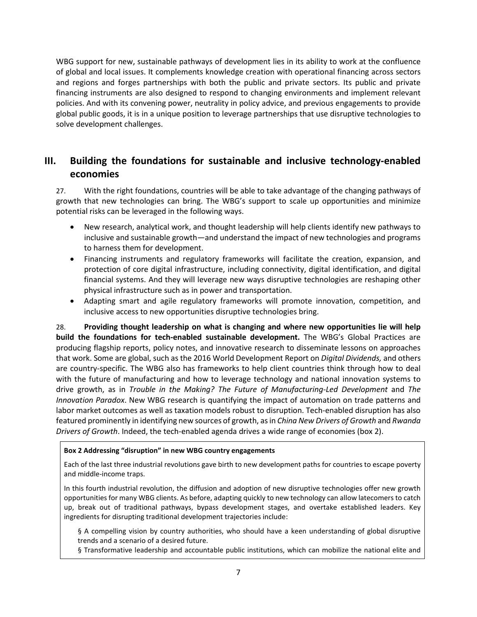WBG support for new, sustainable pathways of development lies in its ability to work at the confluence of global and local issues. It complements knowledge creation with operational financing across sectors and regions and forges partnerships with both the public and private sectors. Its public and private financing instruments are also designed to respond to changing environments and implement relevant policies. And with its convening power, neutrality in policy advice, and previous engagements to provide global public goods, it is in a unique position to leverage partnerships that use disruptive technologies to solve development challenges.

# <span id="page-14-0"></span>**III. Building the foundations for sustainable and inclusive technology-enabled economies**

27. With the right foundations, countries will be able to take advantage of the changing pathways of growth that new technologies can bring. The WBG's support to scale up opportunities and minimize potential risks can be leveraged in the following ways.

- New research, analytical work, and thought leadership will help clients identify new pathways to inclusive and sustainable growth—and understand the impact of new technologies and programs to harness them for development.
- Financing instruments and regulatory frameworks will facilitate the creation, expansion, and protection of core digital infrastructure, including connectivity, digital identification, and digital financial systems. And they will leverage new ways disruptive technologies are reshaping other physical infrastructure such as in power and transportation.
- Adapting smart and agile regulatory frameworks will promote innovation, competition, and inclusive access to new opportunities disruptive technologies bring.

28. **Providing thought leadership on what is changing and where new opportunities lie will help build the foundations for tech-enabled sustainable development.** The WBG's Global Practices are producing flagship reports, policy notes, and innovative research to disseminate lessons on approaches that work. Some are global, such as the 2016 World Development Report on *Digital Dividends,* and others are country-specific. The WBG also has frameworks to help client countries think through how to deal with the future of manufacturing and how to leverage technology and national innovation systems to drive growth, as in *Trouble in the Making? The Future of Manufacturing-Led Development* and *The Innovation Paradox*. New WBG research is quantifying the impact of automation on trade patterns and labor market outcomes as well as taxation models robust to disruption. Tech-enabled disruption has also featured prominently in identifying new sources of growth, as in *China New Drivers of Growth* and *Rwanda Drivers of Growth*. Indeed, the tech-enabled agenda drives a wide range of economies (box 2).

## <span id="page-14-1"></span>**Box 2 Addressing "disruption" in new WBG country engagements**

Each of the last three industrial revolutions gave birth to new development paths for countries to escape poverty and middle-income traps.

In this fourth industrial revolution, the diffusion and adoption of new disruptive technologies offer new growth opportunities for many WBG clients. As before, adapting quickly to new technology can allow latecomers to catch up, break out of traditional pathways, bypass development stages, and overtake established leaders. Key ingredients for disrupting traditional development trajectories include:

§ A compelling vision by country authorities, who should have a keen understanding of global disruptive trends and a scenario of a desired future.

§ Transformative leadership and accountable public institutions, which can mobilize the national elite and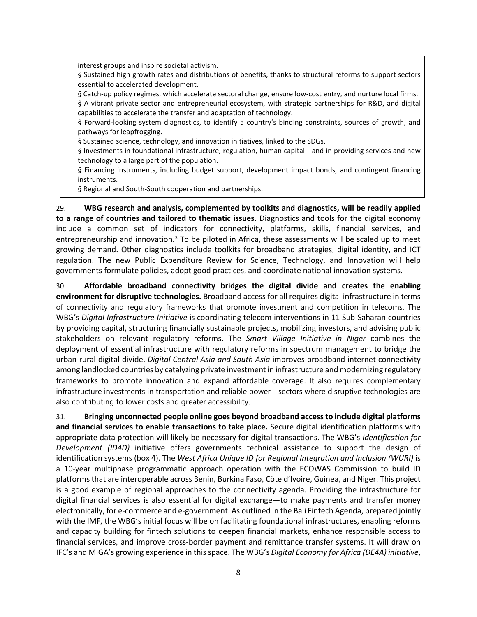interest groups and inspire societal activism.

§ Sustained high growth rates and distributions of benefits, thanks to structural reforms to support sectors essential to accelerated development.

§ Catch-up policy regimes, which accelerate sectoral change, ensure low-cost entry, and nurture local firms. § A vibrant private sector and entrepreneurial ecosystem, with strategic partnerships for R&D, and digital capabilities to accelerate the transfer and adaptation of technology.

§ Forward-looking system diagnostics, to identify a country's binding constraints, sources of growth, and pathways for leapfrogging.

§ Sustained science, technology, and innovation initiatives, linked to the SDGs.

§ Investments in foundational infrastructure, regulation, human capital—and in providing services and new technology to a large part of the population.

§ Financing instruments, including budget support, development impact bonds, and contingent financing instruments.

§ Regional and South-South cooperation and partnerships.

29. **WBG research and analysis, complemented by toolkits and diagnostics, will be readily applied to a range of countries and tailored to thematic issues.** Diagnostics and tools for the digital economy include a common set of indicators for connectivity, platforms, skills, financial services, and entrepreneurship and innovation.<sup>[3](#page-10-3)</sup> To be piloted in Africa, these assessments will be scaled up to meet growing demand. Other diagnostics include toolkits for broadband strategies, digital identity, and ICT regulation. The new Public Expenditure Review for Science, Technology, and Innovation will help governments formulate policies, adopt good practices, and coordinate national innovation systems.

30. **Affordable broadband connectivity bridges the digital divide and creates the enabling environment for disruptive technologies.** Broadband access for all requires digital infrastructure in terms of connectivity and regulatory frameworks that promote investment and competition in telecoms. The WBG's *Digital Infrastructure Initiative* is coordinating telecom interventions in 11 Sub-Saharan countries by providing capital, structuring financially sustainable projects, mobilizing investors, and advising public stakeholders on relevant regulatory reforms. The *Smart Village Initiative in Niger* combines the deployment of essential infrastructure with regulatory reforms in spectrum management to bridge the urban-rural digital divide. *Digital Central Asia and South Asia* improves broadband internet connectivity among landlocked countries by catalyzing private investment in infrastructure and modernizing regulatory frameworks to promote innovation and expand affordable coverage. It also requires complementary infrastructure investments in transportation and reliable power—sectors where disruptive technologies are also contributing to lower costs and greater accessibility.

31. **Bringing unconnected people online goes beyond broadband access to include digital platforms and financial services to enable transactions to take place.** Secure digital identification platforms with appropriate data protection will likely be necessary for digital transactions. The WBG's *Identification for Development (ID4D)* initiative offers governments technical assistance to support the design of identification systems (box 4). The *West Africa Unique ID for Regional Integration and Inclusion (WURI)* is a 10-year multiphase programmatic approach operation with the ECOWAS Commission to build ID platforms that are interoperable across Benin, Burkina Faso, Côte d'Ivoire, Guinea, and Niger. This project is a good example of regional approaches to the connectivity agenda. Providing the infrastructure for digital financial services is also essential for digital exchange—to make payments and transfer money electronically, for e-commerce and e-government. As outlined in the Bali Fintech Agenda, prepared jointly with the IMF, the WBG's initial focus will be on facilitating foundational infrastructures, enabling reforms and capacity building for fintech solutions to deepen financial markets, enhance responsible access to financial services, and improve cross-border payment and remittance transfer systems. It will draw on IFC's and MIGA's growing experience in this space. The WBG's *Digital Economy for Africa (DE4A) initiative*,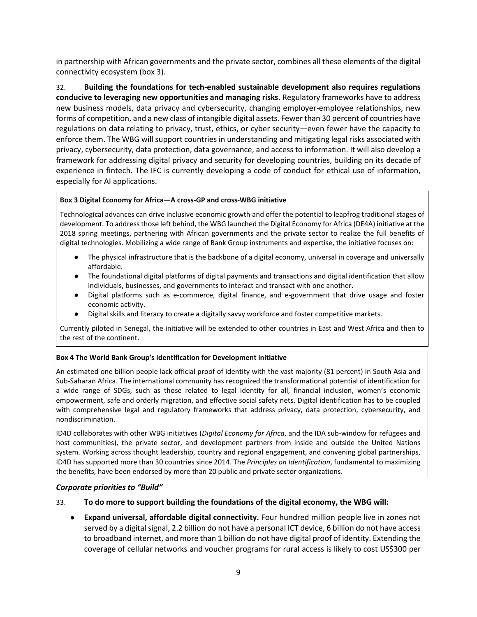in partnership with African governments and the private sector, combines all these elements of the digital connectivity ecosystem (box 3).

32. **Building the foundations for tech-enabled sustainable development also requires regulations conducive to leveraging new opportunities and managing risks.** Regulatory frameworks have to address new business models, data privacy and cybersecurity, changing employer-employee relationships, new forms of competition, and a new class of intangible digital assets. Fewer than 30 percent of countries have regulations on data relating to privacy, trust, ethics, or cyber security—even fewer have the capacity to enforce them. The WBG will support countries in understanding and mitigating legal risks associated with privacy, cybersecurity, data protection, data governance, and access to information. It will also develop a framework for addressing digital privacy and security for developing countries, building on its decade of experience in fintech. The IFC is currently developing a code of conduct for ethical use of information, especially for AI applications.

## <span id="page-16-1"></span>**Box 3 Digital Economy for Africa—A cross-GP and cross-WBG initiative**

Technological advances can drive inclusive economic growth and offer the potential to leapfrog traditional stages of development. To address those left behind, the WBG launched the Digital Economy for Africa (DE4A) initiative at the 2018 spring meetings, partnering with African governments and the private sector to realize the full benefits of digital technologies. Mobilizing a wide range of Bank Group instruments and expertise, the initiative focuses on:

- The physical infrastructure that is the backbone of a digital economy, universal in coverage and universally affordable.
- The foundational digital platforms of digital payments and transactions and digital identification that allow individuals, businesses, and governments to interact and transact with one another.
- Digital platforms such as e-commerce, digital finance, and e-government that drive usage and foster economic activity.
- Digital skills and literacy to create a digitally savvy workforce and foster competitive markets.

Currently piloted in Senegal, the initiative will be extended to other countries in East and West Africa and then to the rest of the continent.

## <span id="page-16-2"></span>**Box 4 The World Bank Group's Identification for Development initiative**

An estimated one billion people lack official proof of identity with the vast majority (81 percent) in South Asia and Sub-Saharan Africa. The international community has recognized the transformational potential of identification for a wide range of SDGs, such as those related to legal identity for all, financial inclusion, women's economic empowerment, safe and orderly migration, and effective social safety nets. Digital identification has to be coupled with comprehensive legal and regulatory frameworks that address privacy, data protection, cybersecurity, and nondiscrimination.

ID4D collaborates with other WBG initiatives (*Digital Economy for Africa*, and the IDA sub-window for refugees and host communities), the private sector, and development partners from inside and outside the United Nations system. Working across thought leadership, country and regional engagement, and convening global partnerships, ID4D has supported more than 30 countries since 2014. The *Principles on Identification*, fundamental to maximizing the benefits, have been endorsed by more than 20 public and private sector organizations.

#### <span id="page-16-0"></span>*Corporate priorities to "Build"*

## 33. **To do more to support building the foundations of the digital economy, the WBG will:**

● **Expand universal, affordable digital connectivity.** Four hundred million people live in zones not served by a digital signal, 2.2 billion do not have a personal ICT device, 6 billion do not have access to broadband internet, and more than 1 billion do not have digital proof of identity. Extending the coverage of cellular networks and voucher programs for rural access is likely to cost US\$300 per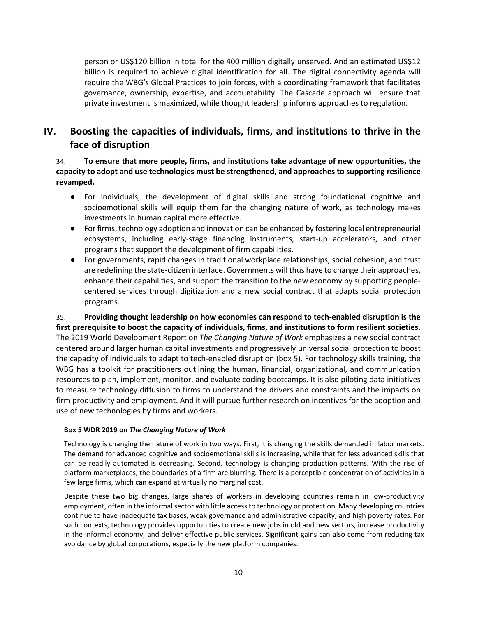person or US\$120 billion in total for the 400 million digitally unserved. And an estimated US\$12 billion is required to achieve digital identification for all. The digital connectivity agenda will require the WBG's Global Practices to join forces, with a coordinating framework that facilitates governance, ownership, expertise, and accountability. The Cascade approach will ensure that private investment is maximized, while thought leadership informs approaches to regulation.

# <span id="page-17-0"></span>**IV. Boosting the capacities of individuals, firms, and institutions to thrive in the face of disruption**

34. **To ensure that more people, firms, and institutions take advantage of new opportunities, the capacity to adopt and use technologies must be strengthened, and approaches to supporting resilience revamped.** 

- For individuals, the development of digital skills and strong foundational cognitive and socioemotional skills will equip them for the changing nature of work, as technology makes investments in human capital more effective.
- For firms, technology adoption and innovation can be enhanced by fostering local entrepreneurial ecosystems, including early-stage financing instruments, start-up accelerators, and other programs that support the development of firm capabilities.
- For governments, rapid changes in traditional workplace relationships, social cohesion, and trust are redefining the state-citizen interface. Governments will thus have to change their approaches, enhance their capabilities, and support the transition to the new economy by supporting peoplecentered services through digitization and a new social contract that adapts social protection programs.

35. **Providing thought leadership on how economies can respond to tech-enabled disruption is the first prerequisite to boost the capacity of individuals, firms, and institutions to form resilient societies.** The 2019 World Development Report on *The Changing Nature of Work* emphasizes a new social contract centered around larger human capital investments and progressively universal social protection to boost the capacity of individuals to adapt to tech-enabled disruption (box 5). For technology skills training, the WBG has a toolkit for practitioners outlining the human, financial, organizational, and communication resources to plan, implement, monitor, and evaluate coding bootcamps. It is also piloting data initiatives to measure technology diffusion to firms to understand the drivers and constraints and the impacts on firm productivity and employment. And it will pursue further research on incentives for the adoption and use of new technologies by firms and workers.

## <span id="page-17-1"></span>**Box 5 WDR 2019 on** *The Changing Nature of Work*

Technology is changing the nature of work in two ways. First, it is changing the skills demanded in labor markets. The demand for advanced cognitive and socioemotional skills is increasing, while that for less advanced skills that can be readily automated is decreasing. Second, technology is changing production patterns. With the rise of platform marketplaces, the boundaries of a firm are blurring. There is a perceptible concentration of activities in a few large firms, which can expand at virtually no marginal cost.

Despite these two big changes, large shares of workers in developing countries remain in low-productivity employment, often in the informal sector with little access to technology or protection. Many developing countries continue to have inadequate tax bases, weak governance and administrative capacity, and high poverty rates. For such contexts, technology provides opportunities to create new jobs in old and new sectors, increase productivity in the informal economy, and deliver effective public services. Significant gains can also come from reducing tax avoidance by global corporations, especially the new platform companies.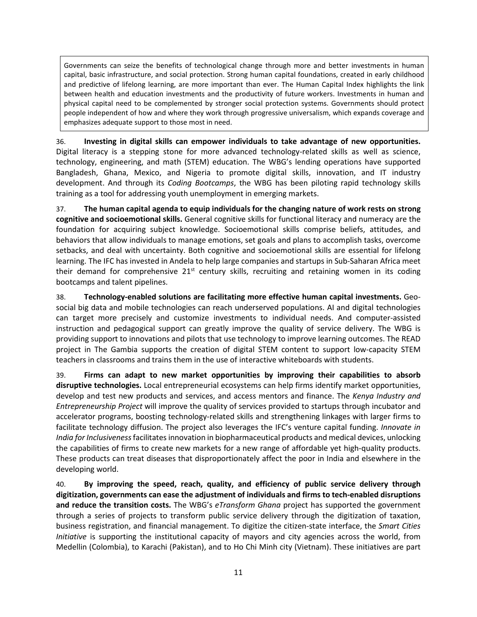Governments can seize the benefits of technological change through more and better investments in human capital, basic infrastructure, and social protection. Strong human capital foundations, created in early childhood and predictive of lifelong learning, are more important than ever. The Human Capital Index highlights the link between health and education investments and the productivity of future workers. Investments in human and physical capital need to be complemented by stronger social protection systems. Governments should protect people independent of how and where they work through progressive universalism, which expands coverage and emphasizes adequate support to those most in need.

36. **Investing in digital skills can empower individuals to take advantage of new opportunities.** Digital literacy is a stepping stone for more advanced technology-related skills as well as science, technology, engineering, and math (STEM) education. The WBG's lending operations have supported Bangladesh, Ghana, Mexico, and Nigeria to promote digital skills, innovation, and IT industry development. And through its *Coding Bootcamps*, the WBG has been piloting rapid technology skills training as a tool for addressing youth unemployment in emerging markets.

37. **The human capital agenda to equip individuals for the changing nature of work rests on strong cognitive and socioemotional skills.** General cognitive skills for functional literacy and numeracy are the foundation for acquiring subject knowledge. Socioemotional skills comprise beliefs, attitudes, and behaviors that allow individuals to manage emotions, set goals and plans to accomplish tasks, overcome setbacks, and deal with uncertainty. Both cognitive and socioemotional skills are essential for lifelong learning. The IFC has invested in Andela to help large companies and startups in Sub-Saharan Africa meet their demand for comprehensive  $21^{st}$  century skills, recruiting and retaining women in its coding bootcamps and talent pipelines.

38. **Technology-enabled solutions are facilitating more effective human capital investments.** Geosocial big data and mobile technologies can reach underserved populations. AI and digital technologies can target more precisely and customize investments to individual needs. And computer-assisted instruction and pedagogical support can greatly improve the quality of service delivery. The WBG is providing support to innovations and pilots that use technology to improve learning outcomes. The READ project in The Gambia supports the creation of digital STEM content to support low-capacity STEM teachers in classrooms and trains them in the use of interactive whiteboards with students.

39. **Firms can adapt to new market opportunities by improving their capabilities to absorb disruptive technologies.** Local entrepreneurial ecosystems can help firms identify market opportunities, develop and test new products and services, and access mentors and finance. The *Kenya Industry and Entrepreneurship Project* will improve the quality of services provided to startups through incubator and accelerator programs, boosting technology-related skills and strengthening linkages with larger firms to facilitate technology diffusion. The project also leverages the IFC's venture capital funding. *Innovate in India for Inclusiveness* facilitates innovation in biopharmaceutical products and medical devices, unlocking the capabilities of firms to create new markets for a new range of affordable yet high-quality products. These products can treat diseases that disproportionately affect the poor in India and elsewhere in the developing world.

40. **By improving the speed, reach, quality, and efficiency of public service delivery through digitization, governments can ease the adjustment of individuals and firms to tech-enabled disruptions and reduce the transition costs.** The WBG's *eTransform Ghana* project has supported the government through a series of projects to transform public service delivery through the digitization of taxation, business registration, and financial management. To digitize the citizen-state interface, the *Smart Cities Initiative* is supporting the institutional capacity of mayors and city agencies across the world, from Medellin (Colombia), to Karachi (Pakistan), and to Ho Chi Minh city (Vietnam). These initiatives are part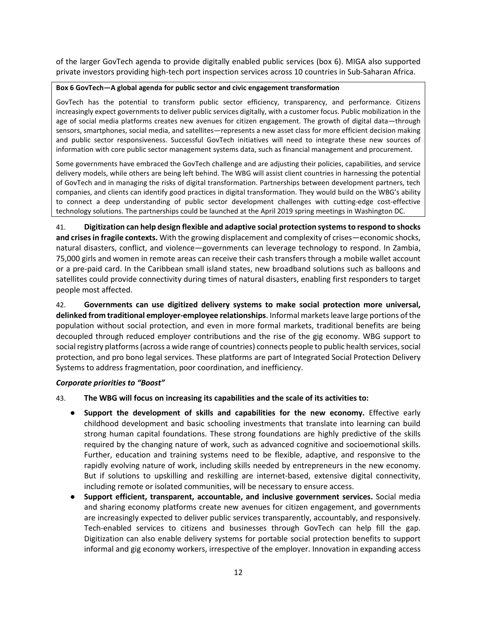of the larger GovTech agenda to provide digitally enabled public services (box 6). MIGA also supported private investors providing high-tech port inspection services across 10 countries in Sub-Saharan Africa.

## <span id="page-19-1"></span>**Box 6 GovTech—A global agenda for public sector and civic engagement transformation**

GovTech has the potential to transform public sector efficiency, transparency, and performance. Citizens increasingly expect governments to deliver public services digitally, with a customer focus. Public mobilization in the age of social media platforms creates new avenues for citizen engagement. The growth of digital data—through sensors, smartphones, social media, and satellites—represents a new asset class for more efficient decision making and public sector responsiveness. Successful GovTech initiatives will need to integrate these new sources of information with core public sector management systems data, such as financial management and procurement.

Some governments have embraced the GovTech challenge and are adjusting their policies, capabilities, and service delivery models, while others are being left behind. The WBG will assist client countries in harnessing the potential of GovTech and in managing the risks of digital transformation. Partnerships between development partners, tech companies, and clients can identify good practices in digital transformation. They would build on the WBG's ability to connect a deep understanding of public sector development challenges with cutting-edge cost-effective technology solutions. The partnerships could be launched at the April 2019 spring meetings in Washington DC.

41. **Digitization can help design flexible and adaptive social protection systems to respond to shocks and crises in fragile contexts.** With the growing displacement and complexity of crises—economic shocks, natural disasters, conflict, and violence—governments can leverage technology to respond. In Zambia, 75,000 girls and women in remote areas can receive their cash transfers through a mobile wallet account or a pre-paid card. In the Caribbean small island states, new broadband solutions such as balloons and satellites could provide connectivity during times of natural disasters, enabling first responders to target people most affected.

42. **Governments can use digitized delivery systems to make social protection more universal, delinked from traditional employer-employee relationships**. Informal markets leave large portions of the population without social protection, and even in more formal markets, traditional benefits are being decoupled through reduced employer contributions and the rise of the gig economy. WBG support to social registry platforms (across a wide range of countries) connects people to public health services, social protection, and pro bono legal services. These platforms are part of Integrated Social Protection Delivery Systems to address fragmentation, poor coordination, and inefficiency.

## <span id="page-19-0"></span>*Corporate priorities to "Boost"*

- 43. **The WBG will focus on increasing its capabilities and the scale of its activities to:**
	- **Support the development of skills and capabilities for the new economy.** Effective early childhood development and basic schooling investments that translate into learning can build strong human capital foundations. These strong foundations are highly predictive of the skills required by the changing nature of work, such as advanced cognitive and socioemotional skills. Further, education and training systems need to be flexible, adaptive, and responsive to the rapidly evolving nature of work, including skills needed by entrepreneurs in the new economy. But if solutions to upskilling and reskilling are internet-based, extensive digital connectivity, including remote or isolated communities, will be necessary to ensure access.
	- **Support efficient, transparent, accountable, and inclusive government services.** Social media and sharing economy platforms create new avenues for citizen engagement, and governments are increasingly expected to deliver public services transparently, accountably, and responsively. Tech-enabled services to citizens and businesses through GovTech can help fill the gap. Digitization can also enable delivery systems for portable social protection benefits to support informal and gig economy workers, irrespective of the employer. Innovation in expanding access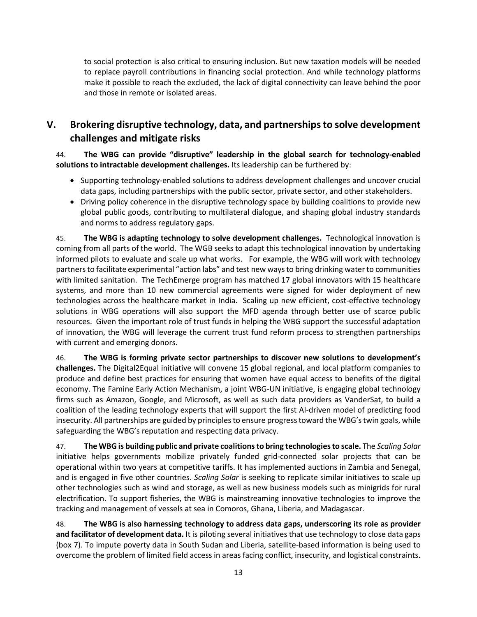to social protection is also critical to ensuring inclusion. But new taxation models will be needed to replace payroll contributions in financing social protection. And while technology platforms make it possible to reach the excluded, the lack of digital connectivity can leave behind the poor and those in remote or isolated areas.

# <span id="page-20-0"></span>**V. Brokering disruptive technology, data, and partnerships to solve development challenges and mitigate risks**

# 44. **The WBG can provide "disruptive" leadership in the global search for technology-enabled solutions to intractable development challenges.** Its leadership can be furthered by:

- Supporting technology-enabled solutions to address development challenges and uncover crucial data gaps, including partnerships with the public sector, private sector, and other stakeholders.
- Driving policy coherence in the disruptive technology space by building coalitions to provide new global public goods, contributing to multilateral dialogue, and shaping global industry standards and norms to address regulatory gaps.

45. **The WBG is adapting technology to solve development challenges.** Technological innovation is coming from all parts of the world. The WGB seeks to adapt this technological innovation by undertaking informed pilots to evaluate and scale up what works.For example, the WBG will work with technology partners to facilitate experimental "action labs" and test new ways to bring drinking water to communities with limited sanitation. The TechEmerge program has matched 17 global innovators with 15 healthcare systems, and more than 10 new commercial agreements were signed for wider deployment of new technologies across the healthcare market in India. Scaling up new efficient, cost-effective technology solutions in WBG operations will also support the MFD agenda through better use of scarce public resources. Given the important role of trust funds in helping the WBG support the successful adaptation of innovation, the WBG will leverage the current trust fund reform process to strengthen partnerships with current and emerging donors.

46. **The WBG is forming private sector partnerships to discover new solutions to development's challenges.** The Digital2Equal initiative will convene 15 global regional, and local platform companies to produce and define best practices for ensuring that women have equal access to benefits of the digital economy. The Famine Early Action Mechanism, a joint WBG-UN initiative, is engaging global technology firms such as Amazon, Google, and Microsoft, as well as such data providers as VanderSat, to build a coalition of the leading technology experts that will support the first AI-driven model of predicting food insecurity. All partnerships are guided by principles to ensure progress toward the WBG's twin goals, while safeguarding the WBG's reputation and respecting data privacy.

47. **The WBG is building public and private coalitions to bring technologies to scale.** The *Scaling Solar* initiative helps governments mobilize privately funded grid-connected solar projects that can be operational within two years at competitive tariffs. It has implemented auctions in Zambia and Senegal, and is engaged in five other countries. *Scaling Solar* is seeking to replicate similar initiatives to scale up other technologies such as wind and storage, as well as new business models such as minigrids for rural electrification. To support fisheries, the WBG is mainstreaming innovative technologies to improve the tracking and management of vessels at sea in Comoros, Ghana, Liberia, and Madagascar.

48. **The WBG is also harnessing technology to address data gaps, underscoring its role as provider and facilitator of development data.** It is piloting several initiatives that use technology to close data gaps (box 7). To impute poverty data in South Sudan and Liberia, satellite-based information is being used to overcome the problem of limited field access in areas facing conflict, insecurity, and logistical constraints.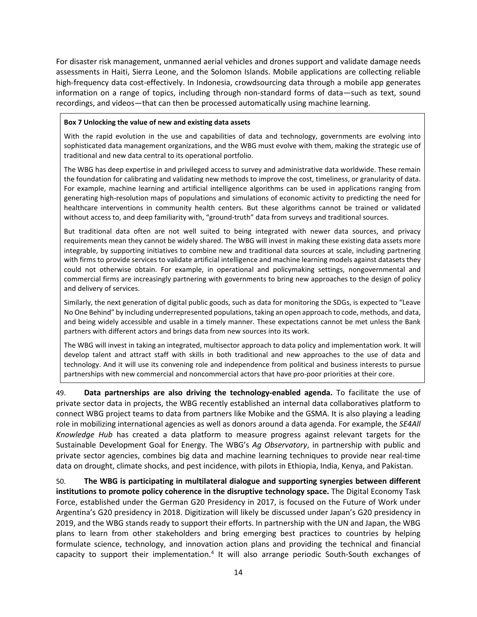For disaster risk management, unmanned aerial vehicles and drones support and validate damage needs assessments in Haiti, Sierra Leone, and the Solomon Islands. Mobile applications are collecting reliable high-frequency data cost-effectively. In Indonesia, crowdsourcing data through a mobile app generates information on a range of topics, including through non-standard forms of data—such as text, sound recordings, and videos—that can then be processed automatically using machine learning.

#### <span id="page-21-0"></span>**Box 7 Unlocking the value of new and existing data assets**

With the rapid evolution in the use and capabilities of data and technology, governments are evolving into sophisticated data management organizations, and the WBG must evolve with them, making the strategic use of traditional and new data central to its operational portfolio.

The WBG has deep expertise in and privileged access to survey and administrative data worldwide. These remain the foundation for calibrating and validating new methods to improve the cost, timeliness, or granularity of data. For example, machine learning and artificial intelligence algorithms can be used in applications ranging from generating high-resolution maps of populations and simulations of economic activity to predicting the need for healthcare interventions in community health centers. But these algorithms cannot be trained or validated without access to, and deep familiarity with, "ground-truth" data from surveys and traditional sources.

But traditional data often are not well suited to being integrated with newer data sources, and privacy requirements mean they cannot be widely shared. The WBG will invest in making these existing data assets more integrable, by supporting initiatives to combine new and traditional data sources at scale, including partnering with firms to provide services to validate artificial intelligence and machine learning models against datasets they could not otherwise obtain. For example, in operational and policymaking settings, nongovernmental and commercial firms are increasingly partnering with governments to bring new approaches to the design of policy and delivery of services.

Similarly, the next generation of digital public goods, such as data for monitoring the SDGs, is expected to "Leave No One Behind" by including underrepresented populations, taking an open approach to code, methods, and data, and being widely accessible and usable in a timely manner. These expectations cannot be met unless the Bank partners with different actors and brings data from new sources into its work.

The WBG will invest in taking an integrated, multisector approach to data policy and implementation work. It will develop talent and attract staff with skills in both traditional and new approaches to the use of data and technology. And it will use its convening role and independence from political and business interests to pursue partnerships with new commercial and noncommercial actors that have pro-poor priorities at their core.

49. **Data partnerships are also driving the technology-enabled agenda.** To facilitate the use of private sector data in projects, the WBG recently established an internal data collaboratives platform to connect WBG project teams to data from partners like Mobike and the GSMA. It is also playing a leading role in mobilizing international agencies as well as donors around a data agenda. For example, the *SE4All Knowledge Hub* has created a data platform to measure progress against relevant targets for the Sustainable Development Goal for Energy. The WBG's *Ag Observatory*, in partnership with public and private sector agencies, combines big data and machine learning techniques to provide near real-time data on drought, climate shocks, and pest incidence, with pilots in Ethiopia, India, Kenya, and Pakistan.

50. **The WBG is participating in multilateral dialogue and supporting synergies between different institutions to promote policy coherence in the disruptive technology space.** The Digital Economy Task Force, established under the German G20 Presidency in 2017, is focused on the Future of Work under Argentina's G20 presidency in 2018. Digitization will likely be discussed under Japan's G20 presidency in 2019, and the WBG stands ready to support their efforts. In partnership with the UN and Japan, the WBG plans to learn from other stakeholders and bring emerging best practices to countries by helping formulate science, technology, and innovation action plans and providing the technical and financial capacity to support their implementation.<sup>[4](#page-10-4)</sup> It will also arrange periodic South-South exchanges of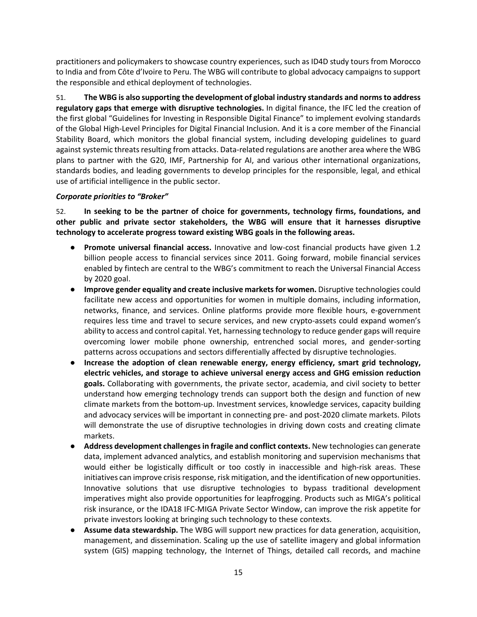practitioners and policymakers to showcase country experiences, such as ID4D study tours from Morocco to India and from Côte d'Ivoire to Peru. The WBG will contribute to global advocacy campaigns to support the responsible and ethical deployment of technologies.

51. **The WBG is also supporting the development of global industry standards and norms to address regulatory gaps that emerge with disruptive technologies.** In digital finance, the IFC led the creation of the first global "Guidelines for Investing in Responsible Digital Finance" to implement evolving standards of the Global High-Level Principles for Digital Financial Inclusion. And it is a core member of the Financial Stability Board, which monitors the global financial system, including developing guidelines to guard against systemic threats resulting from attacks. Data-related regulations are another area where the WBG plans to partner with the G20, IMF, Partnership for AI, and various other international organizations, standards bodies, and leading governments to develop principles for the responsible, legal, and ethical use of artificial intelligence in the public sector.

# <span id="page-22-0"></span>*Corporate priorities to "Broker"*

52. **In seeking to be the partner of choice for governments, technology firms, foundations, and other public and private sector stakeholders, the WBG will ensure that it harnesses disruptive technology to accelerate progress toward existing WBG goals in the following areas.**

- **Promote universal financial access.** Innovative and low-cost financial products have given 1.2 billion people access to financial services since 2011. Going forward, mobile financial services enabled by fintech are central to the WBG's commitment to reach the Universal Financial Access by 2020 goal.
- **Improve gender equality and create inclusive markets for women.** Disruptive technologies could facilitate new access and opportunities for women in multiple domains, including information, networks, finance, and services. Online platforms provide more flexible hours, e-government requires less time and travel to secure services, and new crypto-assets could expand women's ability to access and control capital. Yet, harnessing technology to reduce gender gaps will require overcoming lower mobile phone ownership, entrenched social mores, and gender-sorting patterns across occupations and sectors differentially affected by disruptive technologies.
- **Increase the adoption of clean renewable energy, energy efficiency, smart grid technology, electric vehicles, and storage to achieve universal energy access and GHG emission reduction goals.** Collaborating with governments, the private sector, academia, and civil society to better understand how emerging technology trends can support both the design and function of new climate markets from the bottom-up. Investment services, knowledge services, capacity building and advocacy services will be important in connecting pre- and post-2020 climate markets. Pilots will demonstrate the use of disruptive technologies in driving down costs and creating climate markets.
- **Address development challenges in fragile and conflict contexts.** New technologies can generate data, implement advanced analytics, and establish monitoring and supervision mechanisms that would either be logistically difficult or too costly in inaccessible and high-risk areas. These initiatives can improve crisis response, risk mitigation, and the identification of new opportunities. Innovative solutions that use disruptive technologies to bypass traditional development imperatives might also provide opportunities for leapfrogging. Products such as MIGA's political risk insurance, or the IDA18 IFC-MIGA Private Sector Window, can improve the risk appetite for private investors looking at bringing such technology to these contexts.
- **Assume data stewardship.** The WBG will support new practices for data generation, acquisition, management, and dissemination. Scaling up the use of satellite imagery and global information system (GIS) mapping technology, the Internet of Things, detailed call records, and machine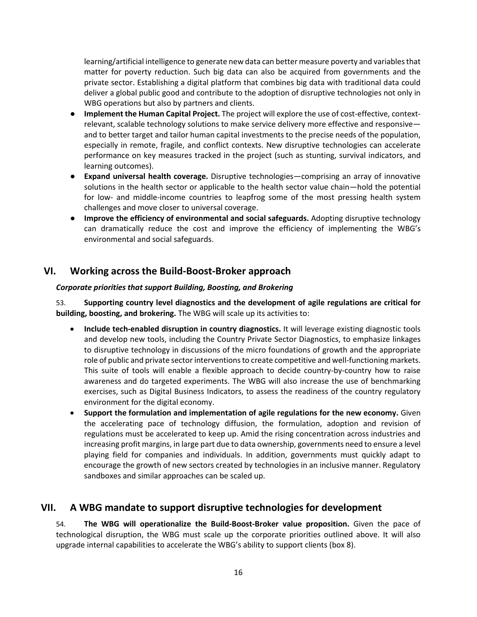learning/artificial intelligence to generate new data can better measure poverty and variables that matter for poverty reduction. Such big data can also be acquired from governments and the private sector. Establishing a digital platform that combines big data with traditional data could deliver a global public good and contribute to the adoption of disruptive technologies not only in WBG operations but also by partners and clients.

- **Implement the Human Capital Project.** The project will explore the use of cost-effective, contextrelevant, scalable technology solutions to make service delivery more effective and responsive and to better target and tailor human capital investments to the precise needs of the population, especially in remote, fragile, and conflict contexts. New disruptive technologies can accelerate performance on key measures tracked in the project (such as stunting, survival indicators, and learning outcomes).
- **Expand universal health coverage.** Disruptive technologies—comprising an array of innovative solutions in the health sector or applicable to the health sector value chain—hold the potential for low- and middle-income countries to leapfrog some of the most pressing health system challenges and move closer to universal coverage.
- **Improve the efficiency of environmental and social safeguards.** Adopting disruptive technology can dramatically reduce the cost and improve the efficiency of implementing the WBG's environmental and social safeguards.

# <span id="page-23-0"></span>**VI. Working across the Build-Boost-Broker approach**

# <span id="page-23-1"></span>*Corporate priorities that support Building, Boosting, and Brokering*

53. **Supporting country level diagnostics and the development of agile regulations are critical for building, boosting, and brokering.** The WBG will scale up its activities to:

- **Include tech-enabled disruption in country diagnostics.** It will leverage existing diagnostic tools and develop new tools, including the Country Private Sector Diagnostics, to emphasize linkages to disruptive technology in discussions of the micro foundations of growth and the appropriate role of public and private sector interventions to create competitive and well-functioning markets. This suite of tools will enable a flexible approach to decide country-by-country how to raise awareness and do targeted experiments. The WBG will also increase the use of benchmarking exercises, such as Digital Business Indicators, to assess the readiness of the country regulatory environment for the digital economy.
- **Support the formulation and implementation of agile regulations for the new economy.** Given the accelerating pace of technology diffusion, the formulation, adoption and revision of regulations must be accelerated to keep up. Amid the rising concentration across industries and increasing profit margins, in large part due to data ownership, governments need to ensure a level playing field for companies and individuals. In addition, governments must quickly adapt to encourage the growth of new sectors created by technologies in an inclusive manner. Regulatory sandboxes and similar approaches can be scaled up.

# <span id="page-23-2"></span>**VII. A WBG mandate to support disruptive technologies for development**

54. **The WBG will operationalize the Build-Boost-Broker value proposition.** Given the pace of technological disruption, the WBG must scale up the corporate priorities outlined above. It will also upgrade internal capabilities to accelerate the WBG's ability to support clients (box 8).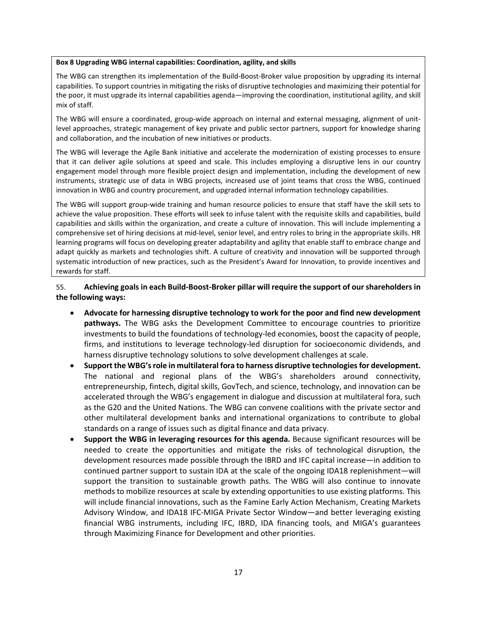#### <span id="page-24-0"></span>**Box 8 Upgrading WBG internal capabilities: Coordination, agility, and skills**

The WBG can strengthen its implementation of the Build-Boost-Broker value proposition by upgrading its internal capabilities. To support countries in mitigating the risks of disruptive technologies and maximizing their potential for the poor, it must upgrade its internal capabilities agenda—improving the coordination, institutional agility, and skill mix of staff.

The WBG will ensure a coordinated, group-wide approach on internal and external messaging, alignment of unitlevel approaches, strategic management of key private and public sector partners, support for knowledge sharing and collaboration, and the incubation of new initiatives or products.

The WBG will leverage the Agile Bank initiative and accelerate the modernization of existing processes to ensure that it can deliver agile solutions at speed and scale. This includes employing a disruptive lens in our country engagement model through more flexible project design and implementation, including the development of new instruments, strategic use of data in WBG projects, increased use of joint teams that cross the WBG, continued innovation in WBG and country procurement, and upgraded internal information technology capabilities.

The WBG will support group-wide training and human resource policies to ensure that staff have the skill sets to achieve the value proposition. These efforts will seek to infuse talent with the requisite skills and capabilities, build capabilities and skills within the organization, and create a culture of innovation. This will include implementing a comprehensive set of hiring decisions at mid-level, senior level, and entry roles to bring in the appropriate skills. HR learning programs will focus on developing greater adaptability and agility that enable staff to embrace change and adapt quickly as markets and technologies shift. A culture of creativity and innovation will be supported through systematic introduction of new practices, such as the President's Award for Innovation, to provide incentives and rewards for staff.

# 55. **Achieving goals in each Build-Boost-Broker pillar will require the support of our shareholders in the following ways:**

- **Advocate for harnessing disruptive technology to work for the poor and find new development pathways.** The WBG asks the Development Committee to encourage countries to prioritize investments to build the foundations of technology-led economies, boost the capacity of people, firms, and institutions to leverage technology-led disruption for socioeconomic dividends, and harness disruptive technology solutions to solve development challenges at scale.
- **Support the WBG'srole in multilateral fora to harness disruptive technologies for development.** The national and regional plans of the WBG's shareholders around connectivity, entrepreneurship, fintech, digital skills, GovTech, and science, technology, and innovation can be accelerated through the WBG's engagement in dialogue and discussion at multilateral fora, such as the G20 and the United Nations. The WBG can convene coalitions with the private sector and other multilateral development banks and international organizations to contribute to global standards on a range of issues such as digital finance and data privacy.
- **Support the WBG in leveraging resources for this agenda.** Because significant resources will be needed to create the opportunities and mitigate the risks of technological disruption, the development resources made possible through the IBRD and IFC capital increase—in addition to continued partner support to sustain IDA at the scale of the ongoing IDA18 replenishment—will support the transition to sustainable growth paths. The WBG will also continue to innovate methods to mobilize resources at scale by extending opportunities to use existing platforms. This will include financial innovations, such as the Famine Early Action Mechanism, Creating Markets Advisory Window, and IDA18 IFC-MIGA Private Sector Window—and better leveraging existing financial WBG instruments, including IFC, IBRD, IDA financing tools, and MIGA's guarantees through Maximizing Finance for Development and other priorities.